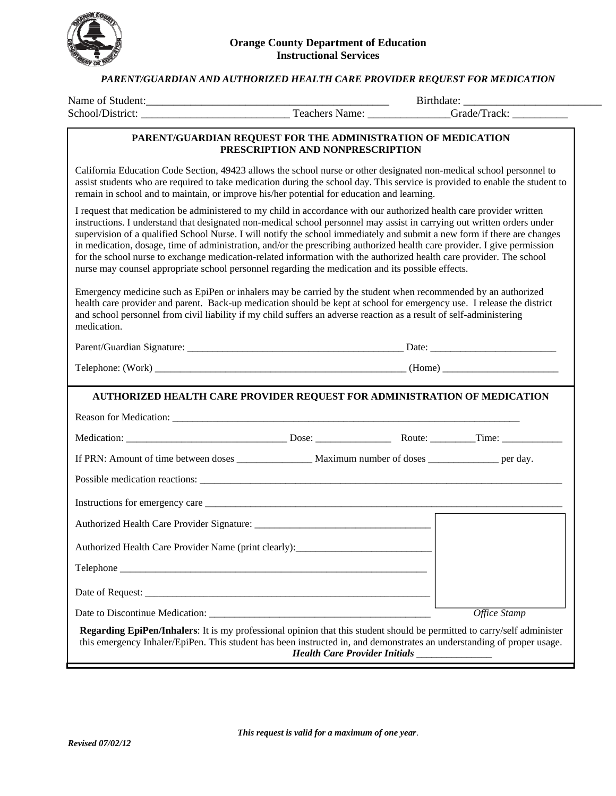

## *PARENT/GUARDIAN AND AUTHORIZED HEALTH CARE PROVIDER REQUEST FOR MEDICATION*

|                                                                                                                                                                                                                                                                                                                                                                                                                                                                                                                                                                                                                                                                                                                                      | PARENT/GUARDIAN REQUEST FOR THE ADMINISTRATION OF MEDICATION<br>PRESCRIPTION AND NONPRESCRIPTION |  |              |
|--------------------------------------------------------------------------------------------------------------------------------------------------------------------------------------------------------------------------------------------------------------------------------------------------------------------------------------------------------------------------------------------------------------------------------------------------------------------------------------------------------------------------------------------------------------------------------------------------------------------------------------------------------------------------------------------------------------------------------------|--------------------------------------------------------------------------------------------------|--|--------------|
| California Education Code Section, 49423 allows the school nurse or other designated non-medical school personnel to<br>assist students who are required to take medication during the school day. This service is provided to enable the student to<br>remain in school and to maintain, or improve his/her potential for education and learning.                                                                                                                                                                                                                                                                                                                                                                                   |                                                                                                  |  |              |
| I request that medication be administered to my child in accordance with our authorized health care provider written<br>instructions. I understand that designated non-medical school personnel may assist in carrying out written orders under<br>supervision of a qualified School Nurse. I will notify the school immediately and submit a new form if there are changes<br>in medication, dosage, time of administration, and/or the prescribing authorized health care provider. I give permission<br>for the school nurse to exchange medication-related information with the authorized health care provider. The school<br>nurse may counsel appropriate school personnel regarding the medication and its possible effects. |                                                                                                  |  |              |
| Emergency medicine such as EpiPen or inhalers may be carried by the student when recommended by an authorized<br>health care provider and parent. Back-up medication should be kept at school for emergency use. I release the district<br>and school personnel from civil liability if my child suffers an adverse reaction as a result of self-administering<br>medication.                                                                                                                                                                                                                                                                                                                                                        |                                                                                                  |  |              |
|                                                                                                                                                                                                                                                                                                                                                                                                                                                                                                                                                                                                                                                                                                                                      |                                                                                                  |  |              |
|                                                                                                                                                                                                                                                                                                                                                                                                                                                                                                                                                                                                                                                                                                                                      |                                                                                                  |  |              |
| AUTHORIZED HEALTH CARE PROVIDER REQUEST FOR ADMINISTRATION OF MEDICATION                                                                                                                                                                                                                                                                                                                                                                                                                                                                                                                                                                                                                                                             |                                                                                                  |  |              |
|                                                                                                                                                                                                                                                                                                                                                                                                                                                                                                                                                                                                                                                                                                                                      |                                                                                                  |  |              |
|                                                                                                                                                                                                                                                                                                                                                                                                                                                                                                                                                                                                                                                                                                                                      |                                                                                                  |  |              |
|                                                                                                                                                                                                                                                                                                                                                                                                                                                                                                                                                                                                                                                                                                                                      |                                                                                                  |  |              |
|                                                                                                                                                                                                                                                                                                                                                                                                                                                                                                                                                                                                                                                                                                                                      |                                                                                                  |  |              |
|                                                                                                                                                                                                                                                                                                                                                                                                                                                                                                                                                                                                                                                                                                                                      |                                                                                                  |  |              |
|                                                                                                                                                                                                                                                                                                                                                                                                                                                                                                                                                                                                                                                                                                                                      |                                                                                                  |  |              |
| Authorized Health Care Provider Name (print clearly):                                                                                                                                                                                                                                                                                                                                                                                                                                                                                                                                                                                                                                                                                |                                                                                                  |  |              |
|                                                                                                                                                                                                                                                                                                                                                                                                                                                                                                                                                                                                                                                                                                                                      |                                                                                                  |  |              |
|                                                                                                                                                                                                                                                                                                                                                                                                                                                                                                                                                                                                                                                                                                                                      |                                                                                                  |  |              |
|                                                                                                                                                                                                                                                                                                                                                                                                                                                                                                                                                                                                                                                                                                                                      |                                                                                                  |  | Office Stamp |
| Regarding EpiPen/Inhalers: It is my professional opinion that this student should be permitted to carry/self administer<br>this emergency Inhaler/EpiPen. This student has been instructed in, and demonstrates an understanding of proper usage.                                                                                                                                                                                                                                                                                                                                                                                                                                                                                    | Health Care Provider Initials _______________                                                    |  |              |